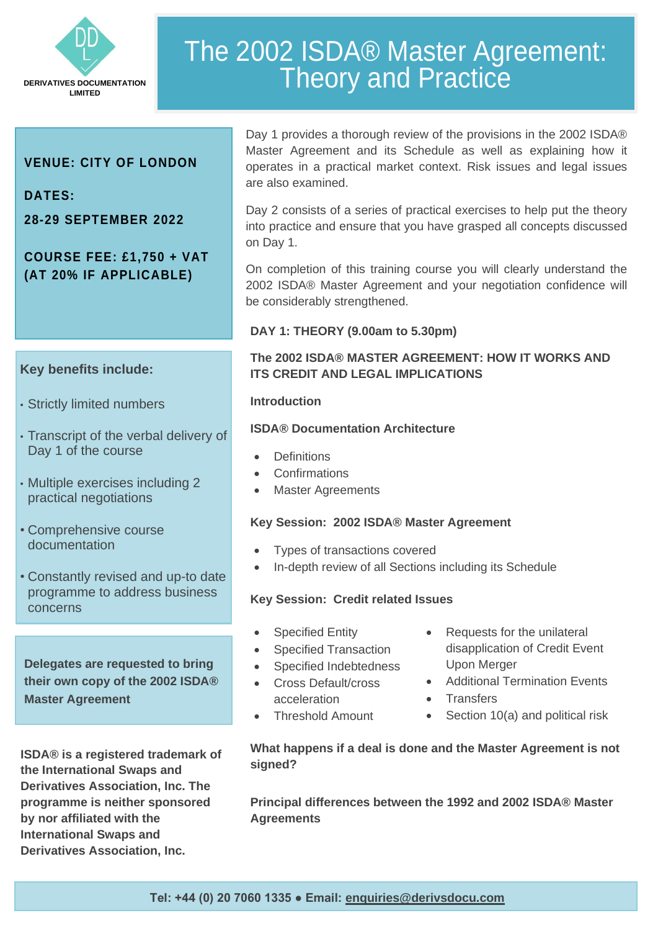

# The 2002 ISDA® Master Agreement: Theory and Practice

# **VENUE: CITY OF LONDON**

**DATES:** 

i

**28-29 SEPTEMBER 2022**

# **COURSE FEE: £1,750 + VAT (AT 20% IF APPLICABLE)**

# **Key benefits include:**

- Strictly limited numbers
- Transcript of the verbal delivery of Day 1 of the course
- Multiple exercises including 2 practical negotiations
- Comprehensive course documentation
- Constantly revised and up-to date programme to address business concerns

**Delegates are requested to bring their own copy of the 2002 ISDA® Master Agreement**

**ISDA® is a registered trademark of the International Swaps and Derivatives Association, Inc. The programme is neither sponsored by nor affiliated with the International Swaps and Derivatives Association, Inc.**

Day 1 provides a thorough review of the provisions in the 2002 ISDA® Master Agreement and its Schedule as well as explaining how it operates in a practical market context. Risk issues and legal issues are also examined.

Day 2 consists of a series of practical exercises to help put the theory into practice and ensure that you have grasped all concepts discussed on Day 1.

On completion of this training course you will clearly understand the 2002 ISDA® Master Agreement and your negotiation confidence will be considerably strengthened.

#### **DAY 1: THEORY (9.00am to 5.30pm)**

## **The 2002 ISDA® MASTER AGREEMENT: HOW IT WORKS AND ITS CREDIT AND LEGAL IMPLICATIONS**

#### **Introduction**

#### **ISDA® Documentation Architecture**

- **Definitions**
- Confirmations
- **Master Agreements**

#### **Key Session: 2002 ISDA® Master Agreement**

- Types of transactions covered
- In-depth review of all Sections including its Schedule

### **Key Session: Credit related Issues**

- **Specified Entity**
- Specified Transaction
- Specified Indebtedness
- Cross Default/cross acceleration
- Threshold Amount
- Requests for the unilateral disapplication of Credit Event Upon Merger
- Additional Termination Events
- **Transfers**
- Section 10(a) and political risk

#### **What happens if a deal is done and the Master Agreement is not signed?**

**Principal differences between the 1992 and 2002 ISDA® Master Agreements** 

**Tel: +44 (0) 20 7060 1335 ● Email: [enquiries@derivsdocu.com](mailto:enquiries@derivsdocu.com)**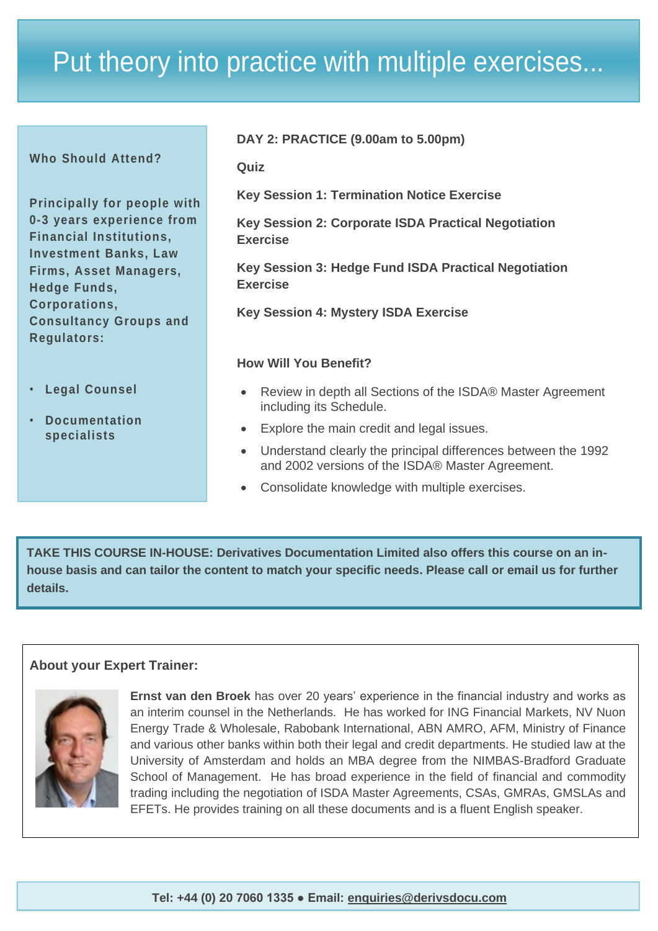# Put theory into practice with multiple exercises...

| <b>Who Should Attend?</b>                                                                                                                                                                                                            | DAY 2: PRACTICE (9.00am to 5.00pm)                                                                                                                                                                                                                    |  |  |
|--------------------------------------------------------------------------------------------------------------------------------------------------------------------------------------------------------------------------------------|-------------------------------------------------------------------------------------------------------------------------------------------------------------------------------------------------------------------------------------------------------|--|--|
|                                                                                                                                                                                                                                      | Quiz                                                                                                                                                                                                                                                  |  |  |
| <b>Principally for people with</b><br>0-3 years experience from<br><b>Financial Institutions,</b><br><b>Investment Banks, Law</b><br>Firms, Asset Managers,<br><b>Hedge Funds,</b><br>Corporations,<br><b>Consultancy Groups and</b> | <b>Key Session 1: Termination Notice Exercise</b><br>Key Session 2: Corporate ISDA Practical Negotiation<br><b>Exercise</b><br>Key Session 3: Hedge Fund ISDA Practical Negotiation<br><b>Exercise</b><br><b>Key Session 4: Mystery ISDA Exercise</b> |  |  |
| <b>Regulators:</b>                                                                                                                                                                                                                   |                                                                                                                                                                                                                                                       |  |  |
| <b>Legal Counsel</b><br>$\bullet$ .<br><b>Documentation</b><br>$\bullet$<br>specialists                                                                                                                                              | <b>How Will You Benefit?</b>                                                                                                                                                                                                                          |  |  |
|                                                                                                                                                                                                                                      | Review in depth all Sections of the ISDA® Master Agreement<br>$\bullet$<br>including its Schedule.                                                                                                                                                    |  |  |
|                                                                                                                                                                                                                                      | Explore the main credit and legal issues.<br>$\bullet$                                                                                                                                                                                                |  |  |
|                                                                                                                                                                                                                                      | Understand clearly the principal differences between the 1992<br>$\bullet$<br>and 2002 versions of the ISDA® Master Agreement.                                                                                                                        |  |  |
|                                                                                                                                                                                                                                      | Consolidate knowledge with multiple exercises.<br>$\bullet$                                                                                                                                                                                           |  |  |

**TAKE THIS COURSE IN-HOUSE: Derivatives Documentation Limited also offers this course on an inhouse basis and can tailor the content to match your specific needs. Please call or email us for further details.**

# **About your Expert Trainer:**



**Ernst van den Broek** has over 20 years' experience in the financial industry and works as an interim counsel in the Netherlands. He has worked for ING Financial Markets, NV Nuon Energy Trade & Wholesale, Rabobank International, ABN AMRO, AFM, Ministry of Finance and various other banks within both their legal and credit departments. He studied law at the University of Amsterdam and holds an MBA degree from the NIMBAS-Bradford Graduate School of Management. He has broad experience in the field of financial and commodity trading including the negotiation of ISDA Master Agreements, CSAs, GMRAs, GMSLAs and EFETs. He provides training on all these documents and is a fluent English speaker.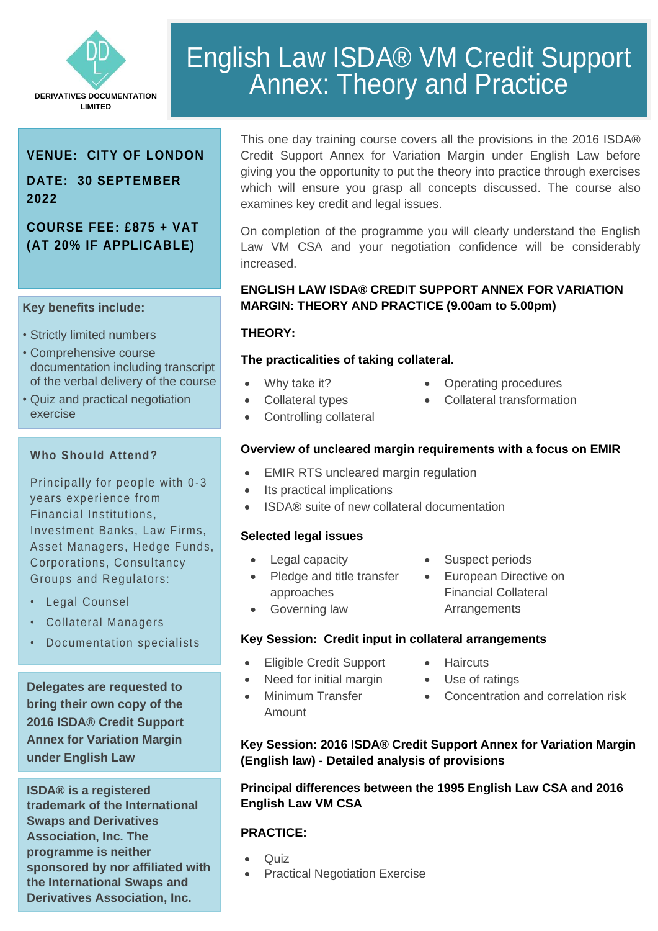

# English Law ISDA® VM Credit Support Annex: Theory and Practice

# **VENUE: CITY OF LONDON**

# **DATE: 30 SEPTEMBER 2022**

# **COURSE FEE: £875 + VAT (AT 20% IF APPLICABLE)**

#### **Key benefits include:**

- Strictly limited numbers
- Comprehensive course documentation including transcript of the verbal delivery of the course
- Quiz and practical negotiation exercise

### **Who Should Attend?**

Principally for people with 0-3 years experience from Financial Institutions, Investment Banks, Law Firms, Asset Managers, Hedge Funds, Corporations, Consultancy Groups and Regulators:

- Legal Counsel
- Collateral Managers
- Documentation specialists

**Delegates are requested to bring their own copy of the 2016 ISDA® Credit Support Annex for Variation Margin under English Law**

**ISDA® is a registered trademark of the International Swaps and Derivatives Association, Inc. The programme is neither sponsored by nor affiliated with the International Swaps and Derivatives Association, Inc.**

This one day training course covers all the provisions in the 2016 ISDA® Credit Support Annex for Variation Margin under English Law before giving you the opportunity to put the theory into practice through exercises which will ensure you grasp all concepts discussed. The course also examines key credit and legal issues.

On completion of the programme you will clearly understand the English Law VM CSA and your negotiation confidence will be considerably increased.

## **ENGLISH LAW ISDA® CREDIT SUPPORT ANNEX FOR VARIATION MARGIN: THEORY AND PRACTICE (9.00am to 5.00pm)**

### **THEORY:**

### **The practicalities of taking collateral.**

- Why take it?
- Operating procedures
- Collateral transformation
- Controlling collateral

• Collateral types

### **Overview of uncleared margin requirements with a focus on EMIR**

- **EMIR RTS uncleared margin regulation**
- Its practical implications
- ISDA**®** suite of new collateral documentation

### **Selected legal issues**

• Legal capacity

• Governing law

- Pledge and title transfer approaches
- Suspect periods
- European Directive on Financial Collateral **Arrangements**

# **Key Session: Credit input in collateral arrangements**

- Eligible Credit Support
- Need for initial margin
- 
- 
- 
- Minimum Transfer Amount
- **Key Session: 2016 ISDA® Credit Support Annex for Variation Margin (English law) - Detailed analysis of provisions**

### **Principal differences between the 1995 English Law CSA and 2016 English Law VM CSA**

### **PRACTICE:**

- Quiz
- **Practical Negotiation Exercise**

• Haircuts

- Use of ratings
	- Concentration and correlation risk